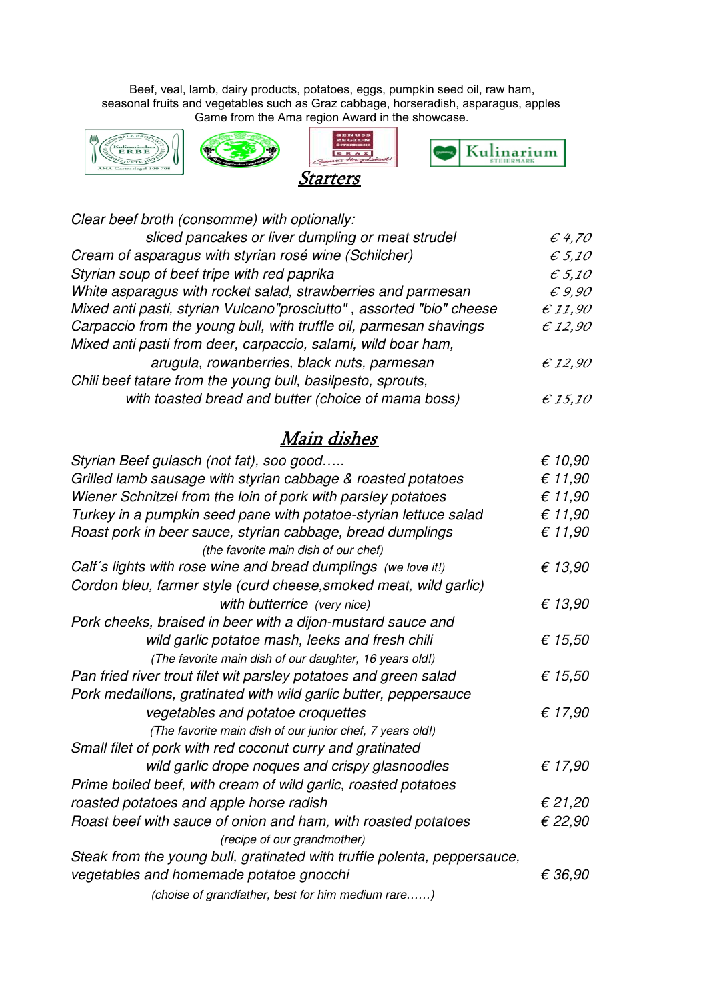Game from the Ama region Award in the showcase. Beef, veal, lamb, dairy products, potatoes, eggs, pumpkin seed oil, raw ham, seasonal fruits and vegetables such as Graz cabbage, horseradish, asparagus, apples,









| Clear beef broth (consomme) with optionally:                         |                  |
|----------------------------------------------------------------------|------------------|
| sliced pancakes or liver dumpling or meat strudel                    | $\epsilon$ 4,70  |
| Cream of asparagus with styrian rosé wine (Schilcher)                | $\epsilon$ 5,10  |
| Styrian soup of beef tripe with red paprika                          | $\epsilon$ 5,10  |
| White asparagus with rocket salad, strawberries and parmesan         | $\epsilon$ 9,90  |
| Mixed anti pasti, styrian Vulcano"prosciutto", assorted "bio" cheese | E11,90           |
| Carpaccio from the young bull, with truffle oil, parmesan shavings   | E12,90           |
| Mixed anti pasti from deer, carpaccio, salami, wild boar ham,        |                  |
| arugula, rowanberries, black nuts, parmesan                          | $\epsilon$ 12,90 |
| Chili beef tatare from the young bull, basilpesto, sprouts,          |                  |
| with toasted bread and butter (choice of mama boss)                  | $\epsilon$ 15,10 |

## Main dishes

| Styrian Beef gulasch (not fat), soo good                                 | € 10,90          |
|--------------------------------------------------------------------------|------------------|
| Grilled lamb sausage with styrian cabbage & roasted potatoes             | € 11,90          |
| Wiener Schnitzel from the loin of pork with parsley potatoes             | € 11,90          |
| Turkey in a pumpkin seed pane with potatoe-styrian lettuce salad         | € 11,90          |
| Roast pork in beer sauce, styrian cabbage, bread dumplings               | € 11,90          |
| (the favorite main dish of our chef)                                     |                  |
| Calf's lights with rose wine and bread dumplings (we love it!)           | € 13,90          |
| Cordon bleu, farmer style (curd cheese, smoked meat, wild garlic)        |                  |
| with butterrice (very nice)                                              | € 13,90          |
| Pork cheeks, braised in beer with a dijon-mustard sauce and              |                  |
| wild garlic potatoe mash, leeks and fresh chili                          | € 15,50          |
| (The favorite main dish of our daughter, 16 years old!)                  |                  |
| Pan fried river trout filet wit parsley potatoes and green salad         | € 15,50          |
| Pork medaillons, gratinated with wild garlic butter, peppersauce         |                  |
| vegetables and potatoe croquettes                                        | € 17,90          |
| (The favorite main dish of our junior chef, 7 years old!)                |                  |
| Small filet of pork with red coconut curry and gratinated                |                  |
| wild garlic drope noques and crispy glasnoodles                          | € 17,90          |
| Prime boiled beef, with cream of wild garlic, roasted potatoes           |                  |
| roasted potatoes and apple horse radish                                  | € 21,20          |
| Roast beef with sauce of onion and ham, with roasted potatoes            | € 22,90          |
| (recipe of our grandmother)                                              |                  |
| Steak from the young bull, gratinated with truffle polenta, peppersauce, |                  |
| vegetables and homemade potatoe gnocchi                                  | $\epsilon$ 36,90 |
| (choise of grandfather, best for him medium rare)                        |                  |